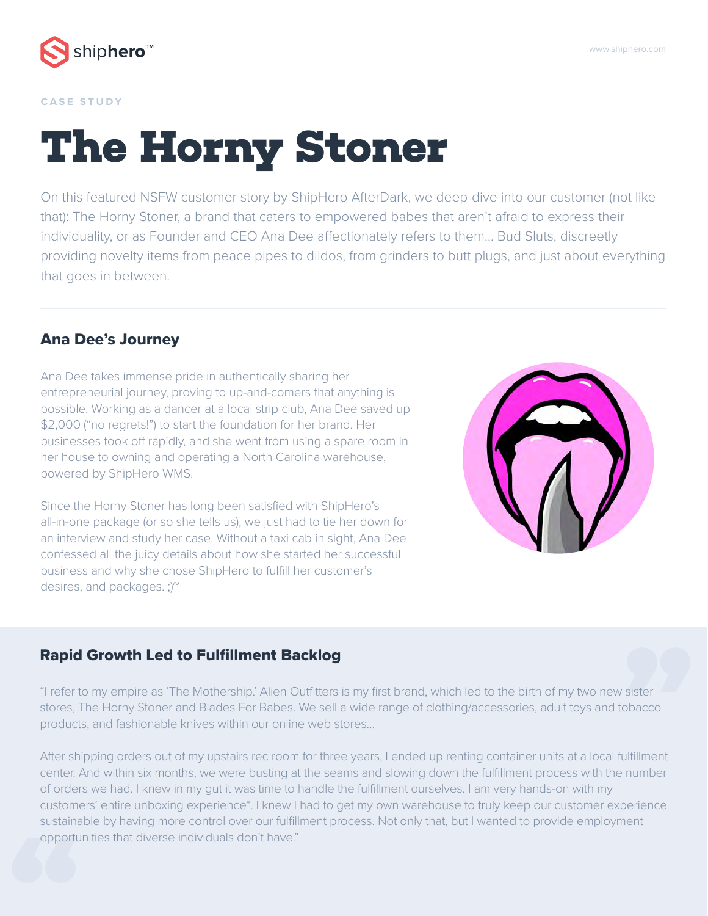

#### **CASE STUDY**

# **The Horny Stoner**

On this featured NSFW customer story by ShipHero AfterDark, we deep-dive into our customer (not like that): The Horny Stoner, a brand that caters to empowered babes that aren't afraid to express their individuality, or as Founder and CEO Ana Dee affectionately refers to them... Bud Sluts, discreetly providing novelty items from peace pipes to dildos, from grinders to butt plugs, and just about everything that goes in between.

#### Ana Dee's Journey

Ana Dee takes immense pride in authentically sharing her entrepreneurial journey, proving to up-and-comers that anything is possible. Working as a dancer at a local strip club, Ana Dee saved up \$2,000 ("no regrets!") to start the foundation for her brand. Her businesses took off rapidly, and she went from using a spare room in her house to owning and operating a North Carolina warehouse, powered by ShipHero WMS.

Since the Horny Stoner has long been satisfied with ShipHero's all-in-one package (or so she tells us), we just had to tie her down for an interview and study her case. Without a taxi cab in sight, Ana Dee confessed all the juicy details about how she started her successful business and why she chose ShipHero to fulfill her customer's desires, and packages.  $\cdot$ )<sup> $\sim$ </sup>



**"** Rapid Growth Led to Fulfillment Backlog "I refer to my empire as 'The Mothership.' Alien Outfitters is my first brand, which led to the birth of my two new sister stores, The Horny Stoner and Blades For Babes. We sell a wide range of clothing/accessories, adult toys and tobacco products, and fashionable knives within our online web stores…

**SUSTAIN**<br> **SUSTAIN** After shipping orders out of my upstairs rec room for three years, I ended up renting container units at a local fulfillment center. And within six months, we were busting at the seams and slowing down the fulfillment process with the number of orders we had. I knew in my gut it was time to handle the fulfillment ourselves. I am very hands-on with my customers' entire unboxing experience\*. I knew I had to get my own warehouse to truly keep our customer experience sustainable by having more control over our fulfillment process. Not only that, but I wanted to provide employment opportunities that diverse individuals don't have."